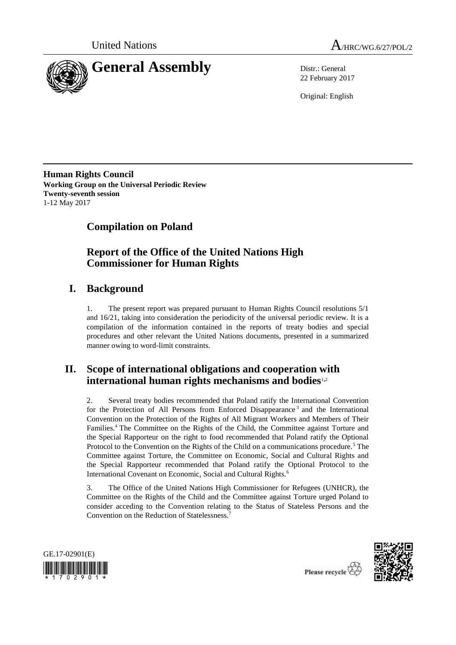



22 February 2017

Original: English

**Human Rights Council Working Group on the Universal Periodic Review Twenty-seventh session** 1-12 May 2017

# **Compilation on Poland**

# **Report of the Office of the United Nations High Commissioner for Human Rights**

# **I. Background**

1. The present report was prepared pursuant to Human Rights Council resolutions 5/1 and 16/21, taking into consideration the periodicity of the universal periodic review. It is a compilation of the information contained in the reports of treaty bodies and special procedures and other relevant the United Nations documents, presented in a summarized manner owing to word-limit constraints.

# **II. Scope of international obligations and cooperation with international human rights mechanisms and bodies**1,<sup>2</sup>

2. Several treaty bodies recommended that Poland ratify the International Convention for the Protection of All Persons from Enforced Disappearance<sup>3</sup> and the International Convention on the Protection of the Rights of All Migrant Workers and Members of Their Families.<sup>4</sup> The Committee on the Rights of the Child, the Committee against Torture and the Special Rapporteur on the right to food recommended that Poland ratify the Optional Protocol to the Convention on the Rights of the Child on a communications procedure.<sup>5</sup> The Committee against Torture, the Committee on Economic, Social and Cultural Rights and the Special Rapporteur recommended that Poland ratify the Optional Protocol to the International Covenant on Economic, Social and Cultural Rights.<sup>6</sup>

3. The Office of the United Nations High Commissioner for Refugees (UNHCR), the Committee on the Rights of the Child and the Committee against Torture urged Poland to consider acceding to the Convention relating to the Status of Stateless Persons and the Convention on the Reduction of Statelessness.<sup>7</sup>





Please recycle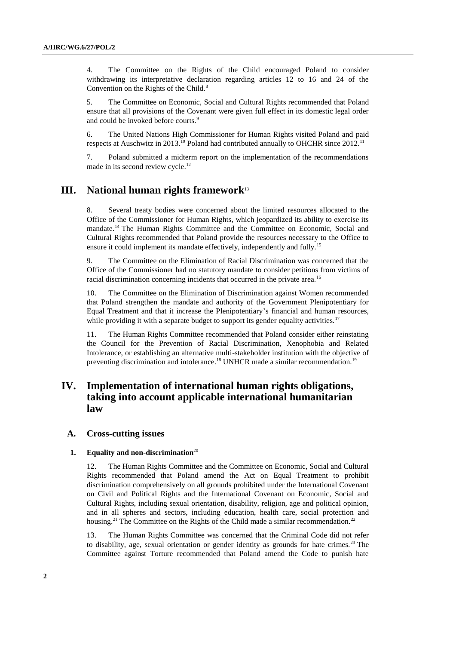4. The Committee on the Rights of the Child encouraged Poland to consider withdrawing its interpretative declaration regarding articles 12 to 16 and 24 of the Convention on the Rights of the Child.<sup>8</sup>

5. The Committee on Economic, Social and Cultural Rights recommended that Poland ensure that all provisions of the Covenant were given full effect in its domestic legal order and could be invoked before courts.<sup>9</sup>

6. The United Nations High Commissioner for Human Rights visited Poland and paid respects at Auschwitz in 2013.<sup>10</sup> Poland had contributed annually to OHCHR since  $2012$ <sup>11</sup>

7. Poland submitted a midterm report on the implementation of the recommendations made in its second review cycle.<sup>12</sup>

# **III. National human rights framework**<sup>13</sup>

8. Several treaty bodies were concerned about the limited resources allocated to the Office of the Commissioner for Human Rights, which jeopardized its ability to exercise its mandate.<sup>14</sup> The Human Rights Committee and the Committee on Economic, Social and Cultural Rights recommended that Poland provide the resources necessary to the Office to ensure it could implement its mandate effectively, independently and fully.<sup>15</sup>

9. The Committee on the Elimination of Racial Discrimination was concerned that the Office of the Commissioner had no statutory mandate to consider petitions from victims of racial discrimination concerning incidents that occurred in the private area.<sup>16</sup>

10. The Committee on the Elimination of Discrimination against Women recommended that Poland strengthen the mandate and authority of the Government Plenipotentiary for Equal Treatment and that it increase the Plenipotentiary's financial and human resources, while providing it with a separate budget to support its gender equality activities.<sup>17</sup>

11. The Human Rights Committee recommended that Poland consider either reinstating the Council for the Prevention of Racial Discrimination, Xenophobia and Related Intolerance, or establishing an alternative multi-stakeholder institution with the objective of preventing discrimination and intolerance.<sup>18</sup> UNHCR made a similar recommendation.<sup>19</sup>

# **IV. Implementation of international human rights obligations, taking into account applicable international humanitarian law**

## **A. Cross-cutting issues**

### **1. Equality and non-discrimination**<sup>20</sup>

12. The Human Rights Committee and the Committee on Economic, Social and Cultural Rights recommended that Poland amend the Act on Equal Treatment to prohibit discrimination comprehensively on all grounds prohibited under the International Covenant on Civil and Political Rights and the International Covenant on Economic, Social and Cultural Rights, including sexual orientation, disability, religion, age and political opinion, and in all spheres and sectors, including education, health care, social protection and housing.<sup>21</sup> The Committee on the Rights of the Child made a similar recommendation.<sup>22</sup>

13. The Human Rights Committee was concerned that the Criminal Code did not refer to disability, age, sexual orientation or gender identity as grounds for hate crimes.<sup>23</sup> The Committee against Torture recommended that Poland amend the Code to punish hate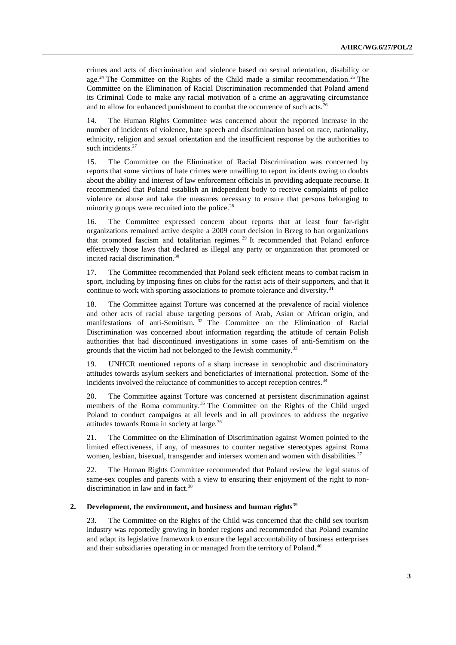crimes and acts of discrimination and violence based on sexual orientation, disability or age.<sup>24</sup> The Committee on the Rights of the Child made a similar recommendation.<sup>25</sup> The Committee on the Elimination of Racial Discrimination recommended that Poland amend its Criminal Code to make any racial motivation of a crime an aggravating circumstance and to allow for enhanced punishment to combat the occurrence of such acts.<sup>26</sup>

14. The Human Rights Committee was concerned about the reported increase in the number of incidents of violence, hate speech and discrimination based on race, nationality, ethnicity, religion and sexual orientation and the insufficient response by the authorities to such incidents.<sup>27</sup>

15. The Committee on the Elimination of Racial Discrimination was concerned by reports that some victims of hate crimes were unwilling to report incidents owing to doubts about the ability and interest of law enforcement officials in providing adequate recourse. It recommended that Poland establish an independent body to receive complaints of police violence or abuse and take the measures necessary to ensure that persons belonging to minority groups were recruited into the police. $28$ 

16. The Committee expressed concern about reports that at least four far-right organizations remained active despite a 2009 court decision in Brzeg to ban organizations that promoted fascism and totalitarian regimes. <sup>29</sup> It recommended that Poland enforce effectively those laws that declared as illegal any party or organization that promoted or incited racial discrimination.<sup>30</sup>

17. The Committee recommended that Poland seek efficient means to combat racism in sport, including by imposing fines on clubs for the racist acts of their supporters, and that it continue to work with sporting associations to promote tolerance and diversity.<sup>31</sup>

18. The Committee against Torture was concerned at the prevalence of racial violence and other acts of racial abuse targeting persons of Arab, Asian or African origin, and manifestations of anti-Semitism.<sup>32</sup> The Committee on the Elimination of Racial Discrimination was concerned about information regarding the attitude of certain Polish authorities that had discontinued investigations in some cases of anti-Semitism on the grounds that the victim had not belonged to the Jewish community.<sup>33</sup>

19. UNHCR mentioned reports of a sharp increase in xenophobic and discriminatory attitudes towards asylum seekers and beneficiaries of international protection. Some of the incidents involved the reluctance of communities to accept reception centres.<sup>34</sup>

20. The Committee against Torture was concerned at persistent discrimination against members of the Roma community.<sup>35</sup> The Committee on the Rights of the Child urged Poland to conduct campaigns at all levels and in all provinces to address the negative attitudes towards Roma in society at large.<sup>36</sup>

21. The Committee on the Elimination of Discrimination against Women pointed to the limited effectiveness, if any, of measures to counter negative stereotypes against Roma women, lesbian, bisexual, transgender and intersex women and women with disabilities.<sup>37</sup>

22. The Human Rights Committee recommended that Poland review the legal status of same-sex couples and parents with a view to ensuring their enjoyment of the right to nondiscrimination in law and in fact.<sup>38</sup>

## **2. Development, the environment, and business and human rights**<sup>39</sup>

23. The Committee on the Rights of the Child was concerned that the child sex tourism industry was reportedly growing in border regions and recommended that Poland examine and adapt its legislative framework to ensure the legal accountability of business enterprises and their subsidiaries operating in or managed from the territory of Poland.<sup>40</sup>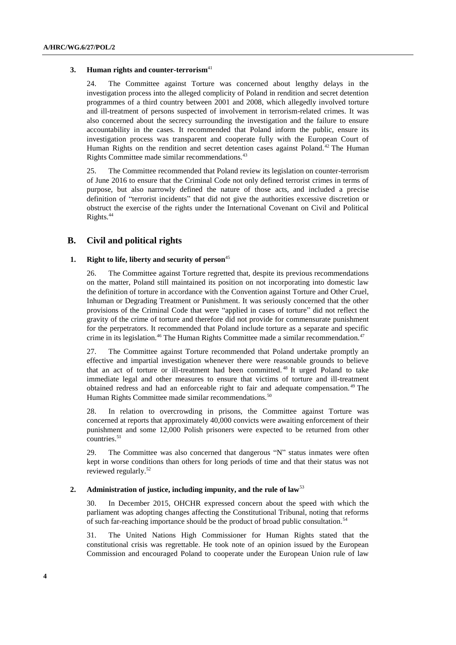#### **3. Human rights and counter-terrorism**<sup>41</sup>

24. The Committee against Torture was concerned about lengthy delays in the investigation process into the alleged complicity of Poland in rendition and secret detention programmes of a third country between 2001 and 2008, which allegedly involved torture and ill-treatment of persons suspected of involvement in terrorism-related crimes. It was also concerned about the secrecy surrounding the investigation and the failure to ensure accountability in the cases. It recommended that Poland inform the public, ensure its investigation process was transparent and cooperate fully with the European Court of Human Rights on the rendition and secret detention cases against Poland.<sup>42</sup> The Human Rights Committee made similar recommendations.<sup>43</sup>

25. The Committee recommended that Poland review its legislation on counter-terrorism of June 2016 to ensure that the Criminal Code not only defined terrorist crimes in terms of purpose, but also narrowly defined the nature of those acts, and included a precise definition of "terrorist incidents" that did not give the authorities excessive discretion or obstruct the exercise of the rights under the International Covenant on Civil and Political Rights.<sup>44</sup>

# **B. Civil and political rights**

## **1. Right to life, liberty and security of person**<sup>45</sup>

26. The Committee against Torture regretted that, despite its previous recommendations on the matter, Poland still maintained its position on not incorporating into domestic law the definition of torture in accordance with the Convention against Torture and Other Cruel, Inhuman or Degrading Treatment or Punishment. It was seriously concerned that the other provisions of the Criminal Code that were "applied in cases of torture" did not reflect the gravity of the crime of torture and therefore did not provide for commensurate punishment for the perpetrators. It recommended that Poland include torture as a separate and specific crime in its legislation.<sup>46</sup> The Human Rights Committee made a similar recommendation.<sup>47</sup>

27. The Committee against Torture recommended that Poland undertake promptly an effective and impartial investigation whenever there were reasonable grounds to believe that an act of torture or ill-treatment had been committed. <sup>48</sup> It urged Poland to take immediate legal and other measures to ensure that victims of torture and ill-treatment obtained redress and had an enforceable right to fair and adequate compensation. <sup>49</sup> The Human Rights Committee made similar recommendations.<sup>50</sup>

28. In relation to overcrowding in prisons, the Committee against Torture was concerned at reports that approximately 40,000 convicts were awaiting enforcement of their punishment and some 12,000 Polish prisoners were expected to be returned from other countries.<sup>51</sup>

29. The Committee was also concerned that dangerous "N" status inmates were often kept in worse conditions than others for long periods of time and that their status was not reviewed regularly.<sup>52</sup>

## **2. Administration of justice, including impunity, and the rule of law**<sup>53</sup>

30. In December 2015, OHCHR expressed concern about the speed with which the parliament was adopting changes affecting the Constitutional Tribunal, noting that reforms of such far-reaching importance should be the product of broad public consultation.<sup>54</sup>

31. The United Nations High Commissioner for Human Rights stated that the constitutional crisis was regrettable. He took note of an opinion issued by the European Commission and encouraged Poland to cooperate under the European Union rule of law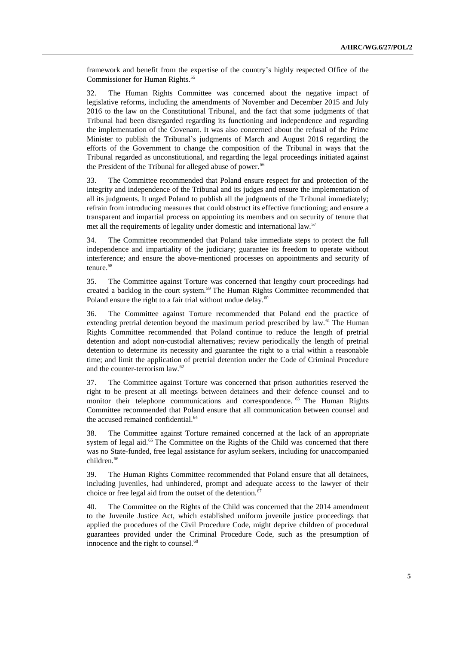framework and benefit from the expertise of the country's highly respected Office of the Commissioner for Human Rights.<sup>55</sup>

32. The Human Rights Committee was concerned about the negative impact of legislative reforms, including the amendments of November and December 2015 and July 2016 to the law on the Constitutional Tribunal, and the fact that some judgments of that Tribunal had been disregarded regarding its functioning and independence and regarding the implementation of the Covenant. It was also concerned about the refusal of the Prime Minister to publish the Tribunal's judgments of March and August 2016 regarding the efforts of the Government to change the composition of the Tribunal in ways that the Tribunal regarded as unconstitutional, and regarding the legal proceedings initiated against the President of the Tribunal for alleged abuse of power.<sup>56</sup>

33. The Committee recommended that Poland ensure respect for and protection of the integrity and independence of the Tribunal and its judges and ensure the implementation of all its judgments. It urged Poland to publish all the judgments of the Tribunal immediately; refrain from introducing measures that could obstruct its effective functioning; and ensure a transparent and impartial process on appointing its members and on security of tenure that met all the requirements of legality under domestic and international law.<sup>57</sup>

34. The Committee recommended that Poland take immediate steps to protect the full independence and impartiality of the judiciary; guarantee its freedom to operate without interference; and ensure the above-mentioned processes on appointments and security of tenure.<sup>58</sup>

35. The Committee against Torture was concerned that lengthy court proceedings had created a backlog in the court system.<sup>59</sup> The Human Rights Committee recommended that Poland ensure the right to a fair trial without undue delay. $60$ 

36. The Committee against Torture recommended that Poland end the practice of extending pretrial detention beyond the maximum period prescribed by law.<sup>61</sup> The Human Rights Committee recommended that Poland continue to reduce the length of pretrial detention and adopt non-custodial alternatives; review periodically the length of pretrial detention to determine its necessity and guarantee the right to a trial within a reasonable time; and limit the application of pretrial detention under the Code of Criminal Procedure and the counter-terrorism law.<sup>62</sup>

37. The Committee against Torture was concerned that prison authorities reserved the right to be present at all meetings between detainees and their defence counsel and to monitor their telephone communications and correspondence. <sup>63</sup> The Human Rights Committee recommended that Poland ensure that all communication between counsel and the accused remained confidential.<sup>64</sup>

38. The Committee against Torture remained concerned at the lack of an appropriate system of legal aid.<sup>65</sup> The Committee on the Rights of the Child was concerned that there was no State-funded, free legal assistance for asylum seekers, including for unaccompanied children.<sup>66</sup>

39. The Human Rights Committee recommended that Poland ensure that all detainees, including juveniles, had unhindered, prompt and adequate access to the lawyer of their choice or free legal aid from the outset of the detention.<sup>67</sup>

40. The Committee on the Rights of the Child was concerned that the 2014 amendment to the Juvenile Justice Act, which established uniform juvenile justice proceedings that applied the procedures of the Civil Procedure Code, might deprive children of procedural guarantees provided under the Criminal Procedure Code, such as the presumption of innocence and the right to counsel.<sup>68</sup>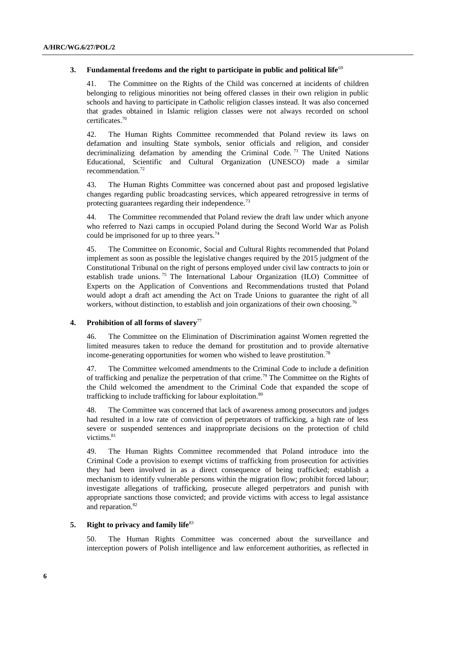#### **3.** Fundamental freedoms and the right to participate in public and political life<sup>69</sup>

41. The Committee on the Rights of the Child was concerned at incidents of children belonging to religious minorities not being offered classes in their own religion in public schools and having to participate in Catholic religion classes instead. It was also concerned that grades obtained in Islamic religion classes were not always recorded on school certificates.<sup>70</sup>

42. The Human Rights Committee recommended that Poland review its laws on defamation and insulting State symbols, senior officials and religion, and consider decriminalizing defamation by amending the Criminal Code.<sup>71</sup> The United Nations Educational, Scientific and Cultural Organization (UNESCO) made a similar recommendation.<sup>72</sup>

43. The Human Rights Committee was concerned about past and proposed legislative changes regarding public broadcasting services, which appeared retrogressive in terms of protecting guarantees regarding their independence.<sup>73</sup>

44. The Committee recommended that Poland review the draft law under which anyone who referred to Nazi camps in occupied Poland during the Second World War as Polish could be imprisoned for up to three years.<sup>74</sup>

45. The Committee on Economic, Social and Cultural Rights recommended that Poland implement as soon as possible the legislative changes required by the 2015 judgment of the Constitutional Tribunal on the right of persons employed under civil law contracts to join or establish trade unions.<sup>75</sup> The International Labour Organization (ILO) Committee of Experts on the Application of Conventions and Recommendations trusted that Poland would adopt a draft act amending the Act on Trade Unions to guarantee the right of all workers, without distinction, to establish and join organizations of their own choosing.<sup>76</sup>

## **4. Prohibition of all forms of slavery**<sup>77</sup>

46. The Committee on the Elimination of Discrimination against Women regretted the limited measures taken to reduce the demand for prostitution and to provide alternative income-generating opportunities for women who wished to leave prostitution.<sup>78</sup>

47. The Committee welcomed amendments to the Criminal Code to include a definition of trafficking and penalize the perpetration of that crime.<sup>79</sup> The Committee on the Rights of the Child welcomed the amendment to the Criminal Code that expanded the scope of trafficking to include trafficking for labour exploitation.<sup>80</sup>

48. The Committee was concerned that lack of awareness among prosecutors and judges had resulted in a low rate of conviction of perpetrators of trafficking, a high rate of less severe or suspended sentences and inappropriate decisions on the protection of child victims.<sup>81</sup>

49. The Human Rights Committee recommended that Poland introduce into the Criminal Code a provision to exempt victims of trafficking from prosecution for activities they had been involved in as a direct consequence of being trafficked; establish a mechanism to identify vulnerable persons within the migration flow; prohibit forced labour; investigate allegations of trafficking, prosecute alleged perpetrators and punish with appropriate sanctions those convicted; and provide victims with access to legal assistance and reparation.<sup>82</sup>

## **5. Right to privacy and family life**<sup>83</sup>

50. The Human Rights Committee was concerned about the surveillance and interception powers of Polish intelligence and law enforcement authorities, as reflected in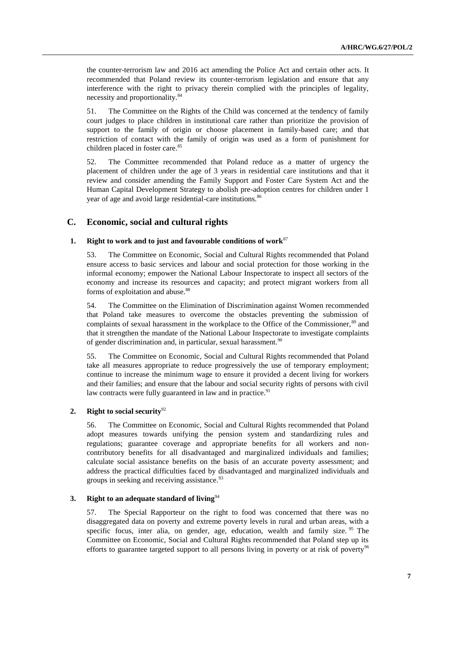the counter-terrorism law and 2016 act amending the Police Act and certain other acts. It recommended that Poland review its counter-terrorism legislation and ensure that any interference with the right to privacy therein complied with the principles of legality, necessity and proportionality.<sup>84</sup>

51. The Committee on the Rights of the Child was concerned at the tendency of family court judges to place children in institutional care rather than prioritize the provision of support to the family of origin or choose placement in family-based care; and that restriction of contact with the family of origin was used as a form of punishment for children placed in foster care.<sup>85</sup>

52. The Committee recommended that Poland reduce as a matter of urgency the placement of children under the age of 3 years in residential care institutions and that it review and consider amending the Family Support and Foster Care System Act and the Human Capital Development Strategy to abolish pre-adoption centres for children under 1 year of age and avoid large residential-care institutions.<sup>86</sup>

# **C. Economic, social and cultural rights**

### **1. Right to work and to just and favourable conditions of work**<sup>87</sup>

53. The Committee on Economic, Social and Cultural Rights recommended that Poland ensure access to basic services and labour and social protection for those working in the informal economy; empower the National Labour Inspectorate to inspect all sectors of the economy and increase its resources and capacity; and protect migrant workers from all forms of exploitation and abuse.<sup>88</sup>

54. The Committee on the Elimination of Discrimination against Women recommended that Poland take measures to overcome the obstacles preventing the submission of complaints of sexual harassment in the workplace to the Office of the Commissioner.<sup>89</sup> and that it strengthen the mandate of the National Labour Inspectorate to investigate complaints of gender discrimination and, in particular, sexual harassment.<sup>90</sup>

55. The Committee on Economic, Social and Cultural Rights recommended that Poland take all measures appropriate to reduce progressively the use of temporary employment; continue to increase the minimum wage to ensure it provided a decent living for workers and their families; and ensure that the labour and social security rights of persons with civil law contracts were fully guaranteed in law and in practice. $91$ 

## **2. Right to social security**<sup>92</sup>

56. The Committee on Economic, Social and Cultural Rights recommended that Poland adopt measures towards unifying the pension system and standardizing rules and regulations; guarantee coverage and appropriate benefits for all workers and noncontributory benefits for all disadvantaged and marginalized individuals and families; calculate social assistance benefits on the basis of an accurate poverty assessment; and address the practical difficulties faced by disadvantaged and marginalized individuals and groups in seeking and receiving assistance.<sup>93</sup>

# **3. Right to an adequate standard of living**<sup>94</sup>

57. The Special Rapporteur on the right to food was concerned that there was no disaggregated data on poverty and extreme poverty levels in rural and urban areas, with a specific focus, inter alia, on gender, age, education, wealth and family size. <sup>95</sup> The Committee on Economic, Social and Cultural Rights recommended that Poland step up its efforts to guarantee targeted support to all persons living in poverty or at risk of poverty<sup>96</sup>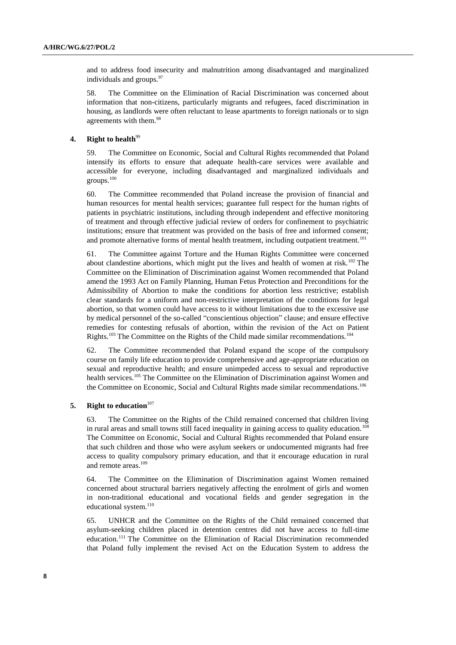and to address food insecurity and malnutrition among disadvantaged and marginalized individuals and groups.<sup>97</sup>

58. The Committee on the Elimination of Racial Discrimination was concerned about information that non-citizens, particularly migrants and refugees, faced discrimination in housing, as landlords were often reluctant to lease apartments to foreign nationals or to sign agreements with them.<sup>98</sup>

#### **4. Right to health**<sup>99</sup>

59. The Committee on Economic, Social and Cultural Rights recommended that Poland intensify its efforts to ensure that adequate health-care services were available and accessible for everyone, including disadvantaged and marginalized individuals and groups.<sup>100</sup>

60. The Committee recommended that Poland increase the provision of financial and human resources for mental health services; guarantee full respect for the human rights of patients in psychiatric institutions, including through independent and effective monitoring of treatment and through effective judicial review of orders for confinement to psychiatric institutions; ensure that treatment was provided on the basis of free and informed consent; and promote alternative forms of mental health treatment, including outpatient treatment.<sup>101</sup>

61. The Committee against Torture and the Human Rights Committee were concerned about clandestine abortions, which might put the lives and health of women at risk.<sup>102</sup> The Committee on the Elimination of Discrimination against Women recommended that Poland amend the 1993 Act on Family Planning, Human Fetus Protection and Preconditions for the Admissibility of Abortion to make the conditions for abortion less restrictive; establish clear standards for a uniform and non-restrictive interpretation of the conditions for legal abortion, so that women could have access to it without limitations due to the excessive use by medical personnel of the so-called "conscientious objection" clause; and ensure effective remedies for contesting refusals of abortion, within the revision of the Act on Patient Rights.<sup>103</sup> The Committee on the Rights of the Child made similar recommendations.<sup>104</sup>

62. The Committee recommended that Poland expand the scope of the compulsory course on family life education to provide comprehensive and age-appropriate education on sexual and reproductive health; and ensure unimpeded access to sexual and reproductive health services.<sup>105</sup> The Committee on the Elimination of Discrimination against Women and the Committee on Economic, Social and Cultural Rights made similar recommendations.<sup>106</sup>

# **5. Right to education**<sup>107</sup>

63. The Committee on the Rights of the Child remained concerned that children living in rural areas and small towns still faced inequality in gaining access to quality education.<sup>108</sup> The Committee on Economic, Social and Cultural Rights recommended that Poland ensure that such children and those who were asylum seekers or undocumented migrants had free access to quality compulsory primary education, and that it encourage education in rural and remote areas.<sup>109</sup>

64. The Committee on the Elimination of Discrimination against Women remained concerned about structural barriers negatively affecting the enrolment of girls and women in non-traditional educational and vocational fields and gender segregation in the educational system.<sup>110</sup>

65. UNHCR and the Committee on the Rights of the Child remained concerned that asylum-seeking children placed in detention centres did not have access to full-time education.<sup>111</sup> The Committee on the Elimination of Racial Discrimination recommended that Poland fully implement the revised Act on the Education System to address the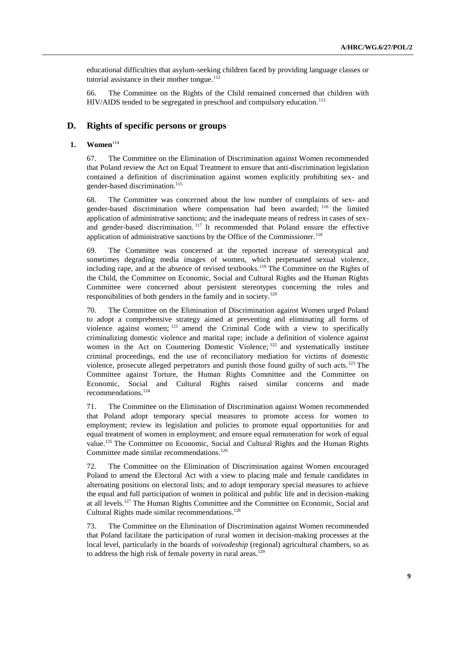educational difficulties that asylum-seeking children faced by providing language classes or tutorial assistance in their mother tongue. $112$ 

66. The Committee on the Rights of the Child remained concerned that children with HIV/AIDS tended to be segregated in preschool and compulsory education.<sup>113</sup>

# **D. Rights of specific persons or groups**

#### **1. Women**<sup>114</sup>

67. The Committee on the Elimination of Discrimination against Women recommended that Poland review the Act on Equal Treatment to ensure that anti-discrimination legislation contained a definition of discrimination against women explicitly prohibiting sex- and gender-based discrimination.<sup>115</sup>

68. The Committee was concerned about the low number of complaints of sex- and gender-based discrimination where compensation had been awarded; <sup>116</sup> the limited application of administrative sanctions; and the inadequate means of redress in cases of sexand gender-based discrimination.<sup>117</sup> It recommended that Poland ensure the effective application of administrative sanctions by the Office of the Commissioner.<sup>118</sup>

69. The Committee was concerned at the reported increase of stereotypical and sometimes degrading media images of women, which perpetuated sexual violence, including rape, and at the absence of revised textbooks.<sup>119</sup> The Committee on the Rights of the Child, the Committee on Economic, Social and Cultural Rights and the Human Rights Committee were concerned about persistent stereotypes concerning the roles and responsibilities of both genders in the family and in society.<sup>120</sup>

70. The Committee on the Elimination of Discrimination against Women urged Poland to adopt a comprehensive strategy aimed at preventing and eliminating all forms of violence against women; <sup>121</sup> amend the Criminal Code with a view to specifically criminalizing domestic violence and marital rape; include a definition of violence against women in the Act on Countering Domestic Violence; <sup>122</sup> and systematically institute criminal proceedings, end the use of reconciliatory mediation for victims of domestic violence, prosecute alleged perpetrators and punish those found guilty of such acts.<sup>123</sup> The Committee against Torture, the Human Rights Committee and the Committee on Economic, Social and Cultural Rights raised similar concerns and made recommendations.<sup>124</sup>

71. The Committee on the Elimination of Discrimination against Women recommended that Poland adopt temporary special measures to promote access for women to employment; review its legislation and policies to promote equal opportunities for and equal treatment of women in employment; and ensure equal remuneration for work of equal value.<sup>125</sup> The Committee on Economic, Social and Cultural Rights and the Human Rights Committee made similar recommendations.<sup>126</sup>

72. The Committee on the Elimination of Discrimination against Women encouraged Poland to amend the Electoral Act with a view to placing male and female candidates in alternating positions on electoral lists; and to adopt temporary special measures to achieve the equal and full participation of women in political and public life and in decision-making at all levels.<sup>127</sup> The Human Rights Committee and the Committee on Economic, Social and Cultural Rights made similar recommendations.<sup>128</sup>

73. The Committee on the Elimination of Discrimination against Women recommended that Poland facilitate the participation of rural women in decision-making processes at the local level, particularly in the boards of *voivodeship* (regional) agricultural chambers, so as to address the high risk of female poverty in rural areas.<sup>129</sup>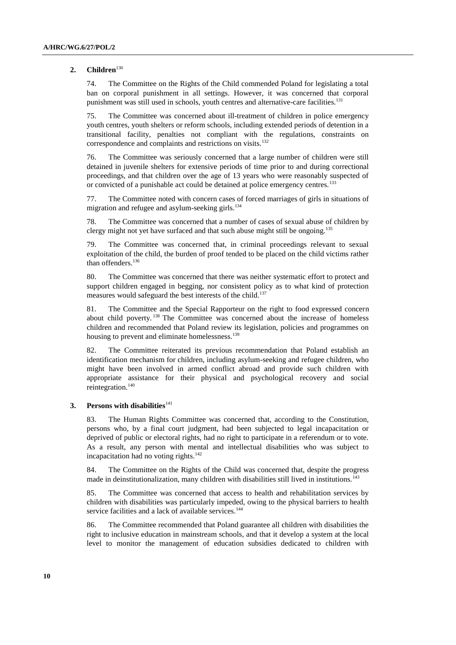### 2. **Children**<sup>130</sup>

74. The Committee on the Rights of the Child commended Poland for legislating a total ban on corporal punishment in all settings. However, it was concerned that corporal punishment was still used in schools, youth centres and alternative-care facilities.<sup>131</sup>

75. The Committee was concerned about ill-treatment of children in police emergency youth centres, youth shelters or reform schools, including extended periods of detention in a transitional facility, penalties not compliant with the regulations, constraints on correspondence and complaints and restrictions on visits.<sup>132</sup>

76. The Committee was seriously concerned that a large number of children were still detained in juvenile shelters for extensive periods of time prior to and during correctional proceedings, and that children over the age of 13 years who were reasonably suspected of or convicted of a punishable act could be detained at police emergency centres.<sup>133</sup>

77. The Committee noted with concern cases of forced marriages of girls in situations of migration and refugee and asylum-seeking girls.<sup>134</sup>

78. The Committee was concerned that a number of cases of sexual abuse of children by clergy might not yet have surfaced and that such abuse might still be ongoing.<sup>135</sup>

79. The Committee was concerned that, in criminal proceedings relevant to sexual exploitation of the child, the burden of proof tended to be placed on the child victims rather than offenders.<sup>136</sup>

80. The Committee was concerned that there was neither systematic effort to protect and support children engaged in begging, nor consistent policy as to what kind of protection measures would safeguard the best interests of the child.<sup>137</sup>

81. The Committee and the Special Rapporteur on the right to food expressed concern about child poverty. <sup>138</sup> The Committee was concerned about the increase of homeless children and recommended that Poland review its legislation, policies and programmes on housing to prevent and eliminate homelessness.<sup>139</sup>

82. The Committee reiterated its previous recommendation that Poland establish an identification mechanism for children, including asylum-seeking and refugee children, who might have been involved in armed conflict abroad and provide such children with appropriate assistance for their physical and psychological recovery and social reintegration.<sup>140</sup>

#### **3.** Persons with disabilities<sup>141</sup>

83. The Human Rights Committee was concerned that, according to the Constitution, persons who, by a final court judgment, had been subjected to legal incapacitation or deprived of public or electoral rights, had no right to participate in a referendum or to vote. As a result, any person with mental and intellectual disabilities who was subject to incapacitation had no voting rights.<sup>142</sup>

84. The Committee on the Rights of the Child was concerned that, despite the progress made in deinstitutionalization, many children with disabilities still lived in institutions.<sup>143</sup>

85. The Committee was concerned that access to health and rehabilitation services by children with disabilities was particularly impeded, owing to the physical barriers to health service facilities and a lack of available services.<sup>144</sup>

86. The Committee recommended that Poland guarantee all children with disabilities the right to inclusive education in mainstream schools, and that it develop a system at the local level to monitor the management of education subsidies dedicated to children with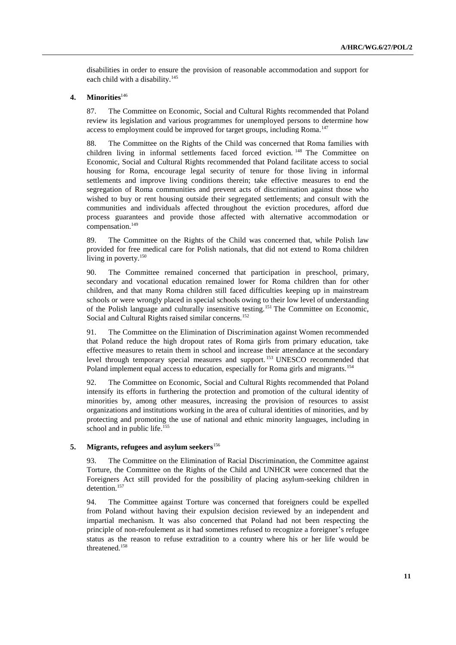disabilities in order to ensure the provision of reasonable accommodation and support for each child with a disability.<sup>145</sup>

# **4. Minorities**<sup>146</sup>

87. The Committee on Economic, Social and Cultural Rights recommended that Poland review its legislation and various programmes for unemployed persons to determine how access to employment could be improved for target groups, including Roma.<sup>147</sup>

88. The Committee on the Rights of the Child was concerned that Roma families with children living in informal settlements faced forced eviction. <sup>148</sup> The Committee on Economic, Social and Cultural Rights recommended that Poland facilitate access to social housing for Roma, encourage legal security of tenure for those living in informal settlements and improve living conditions therein; take effective measures to end the segregation of Roma communities and prevent acts of discrimination against those who wished to buy or rent housing outside their segregated settlements; and consult with the communities and individuals affected throughout the eviction procedures, afford due process guarantees and provide those affected with alternative accommodation or compensation.<sup>149</sup>

89. The Committee on the Rights of the Child was concerned that, while Polish law provided for free medical care for Polish nationals, that did not extend to Roma children living in poverty.<sup>150</sup>

90. The Committee remained concerned that participation in preschool, primary, secondary and vocational education remained lower for Roma children than for other children, and that many Roma children still faced difficulties keeping up in mainstream schools or were wrongly placed in special schools owing to their low level of understanding of the Polish language and culturally insensitive testing.<sup>151</sup> The Committee on Economic, Social and Cultural Rights raised similar concerns.<sup>152</sup>

91. The Committee on the Elimination of Discrimination against Women recommended that Poland reduce the high dropout rates of Roma girls from primary education, take effective measures to retain them in school and increase their attendance at the secondary level through temporary special measures and support. <sup>153</sup> UNESCO recommended that Poland implement equal access to education, especially for Roma girls and migrants.<sup>154</sup>

92. The Committee on Economic, Social and Cultural Rights recommended that Poland intensify its efforts in furthering the protection and promotion of the cultural identity of minorities by, among other measures, increasing the provision of resources to assist organizations and institutions working in the area of cultural identities of minorities, and by protecting and promoting the use of national and ethnic minority languages, including in school and in public life.<sup>155</sup>

### **5. Migrants, refugees and asylum seekers**<sup>156</sup>

93. The Committee on the Elimination of Racial Discrimination, the Committee against Torture, the Committee on the Rights of the Child and UNHCR were concerned that the Foreigners Act still provided for the possibility of placing asylum-seeking children in detention.<sup>157</sup>

94. The Committee against Torture was concerned that foreigners could be expelled from Poland without having their expulsion decision reviewed by an independent and impartial mechanism. It was also concerned that Poland had not been respecting the principle of non-refoulement as it had sometimes refused to recognize a foreigner's refugee status as the reason to refuse extradition to a country where his or her life would be threatened.158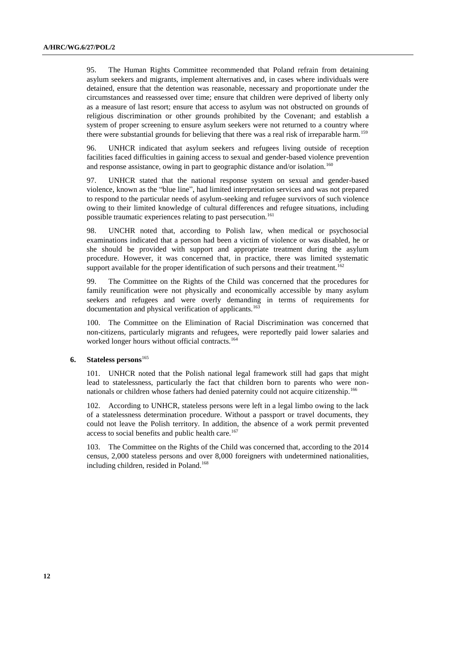95. The Human Rights Committee recommended that Poland refrain from detaining asylum seekers and migrants, implement alternatives and, in cases where individuals were detained, ensure that the detention was reasonable, necessary and proportionate under the circumstances and reassessed over time; ensure that children were deprived of liberty only as a measure of last resort; ensure that access to asylum was not obstructed on grounds of religious discrimination or other grounds prohibited by the Covenant; and establish a system of proper screening to ensure asylum seekers were not returned to a country where there were substantial grounds for believing that there was a real risk of irreparable harm.<sup>159</sup>

96. UNHCR indicated that asylum seekers and refugees living outside of reception facilities faced difficulties in gaining access to sexual and gender-based violence prevention and response assistance, owing in part to geographic distance and/or isolation.<sup>160</sup>

97. UNHCR stated that the national response system on sexual and gender-based violence, known as the "blue line", had limited interpretation services and was not prepared to respond to the particular needs of asylum-seeking and refugee survivors of such violence owing to their limited knowledge of cultural differences and refugee situations, including possible traumatic experiences relating to past persecution.<sup>161</sup>

98. UNCHR noted that, according to Polish law, when medical or psychosocial examinations indicated that a person had been a victim of violence or was disabled, he or she should be provided with support and appropriate treatment during the asylum procedure. However, it was concerned that, in practice, there was limited systematic support available for the proper identification of such persons and their treatment.<sup>162</sup>

99. The Committee on the Rights of the Child was concerned that the procedures for family reunification were not physically and economically accessible by many asylum seekers and refugees and were overly demanding in terms of requirements for documentation and physical verification of applicants.<sup>163</sup>

100. The Committee on the Elimination of Racial Discrimination was concerned that non-citizens, particularly migrants and refugees, were reportedly paid lower salaries and worked longer hours without official contracts.<sup>164</sup>

## **6. Stateless persons**<sup>165</sup>

101. UNHCR noted that the Polish national legal framework still had gaps that might lead to statelessness, particularly the fact that children born to parents who were nonnationals or children whose fathers had denied paternity could not acquire citizenship.<sup>166</sup>

102. According to UNHCR, stateless persons were left in a legal limbo owing to the lack of a statelessness determination procedure. Without a passport or travel documents, they could not leave the Polish territory. In addition, the absence of a work permit prevented access to social benefits and public health care.<sup>167</sup>

103. The Committee on the Rights of the Child was concerned that, according to the 2014 census, 2,000 stateless persons and over 8,000 foreigners with undetermined nationalities, including children, resided in Poland.<sup>168</sup>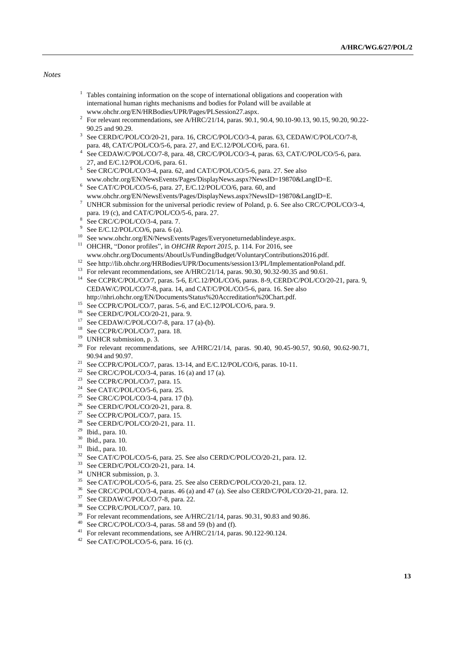### *Notes*

- $1$  Tables containing information on the scope of international obligations and cooperation with international human rights mechanisms and bodies for Poland will be available at www.ohchr.org/EN/HRBodies/UPR/Pages/PLSession27.aspx.
- <sup>2</sup> For relevant recommendations, see A/HRC/21/14, paras. 90.1, 90.4, 90.10-90.13, 90.15, 90.20, 90.22-90.25 and 90.29.
- <sup>3</sup> See CERD/C/POL/CO/20-21, para. 16, CRC/C/POL/CO/3-4, paras. 63, CEDAW/C/POL/CO/7-8, para. 48, CAT/C/POL/CO/5-6, para. 27, and E/C.12/POL/CO/6, para. 61.
- 4 See CEDAW/C/POL/CO/7-8, para. 48, CRC/C/POL/CO/3-4, paras. 63, CAT/C/POL/CO/5-6, para. 27, and E/C.12/POL/CO/6, para. 61.
- <sup>5</sup> See CRC/C/POL/CO/3-4, para. 62, and CAT/C/POL/CO/5-6, para. 27. See also www.ohchr.org/EN/NewsEvents/Pages/DisplayNews.aspx?NewsID=19870&LangID=E.
- $6$  See CAT/C/POL/CO/5-6, para. 27, E/C.12/POL/CO/6, para. 60, and www.ohchr.org/EN/NewsEvents/Pages/DisplayNews.aspx?NewsID=19870&LangID=E.
- <sup>7</sup> UNHCR submission for the universal periodic review of Poland, p. 6. See also CRC/C/POL/CO/3-4, para. 19 (c), and CAT/C/POL/CO/5-6, para. 27.
- 8 See CRC/C/POL/CO/3-4, para. 7.
- <sup>9</sup> See E/C.12/POL/CO/6, para. 6 (a).
- <sup>10</sup> See www.ohchr.org/EN/NewsEvents/Pages/Everyoneturnedablindeye.aspx.
- <sup>11</sup> OHCHR, "Donor profiles", in *OHCHR Report 2015*, p. 114. For 2016, see www.ohchr.org/Documents/AboutUs/FundingBudget/VoluntaryContributions2016.pdf.
- <sup>12</sup> See http://lib.ohchr.org/HRBodies/UPR/Documents/session13/PL/ImplementationPoland.pdf.
- <sup>13</sup> For relevant recommendations, see A/HRC/21/14, paras. 90.30, 90.32-90.35 and 90.61.
- <sup>14</sup> See CCPR/C/POL/CO/7, paras. 5-6, E/C.12/POL/CO/6, paras. 8-9, CERD/C/POL/CO/20-21, para. 9, CEDAW/C/POL/CO/7-8, para. 14, and CAT/C/POL/CO/5-6, para. 16. See also http://nhri.ohchr.org/EN/Documents/Status%20Accreditation%20Chart.pdf.
- 
- <sup>15</sup> See CCPR/C/POL/CO/7, paras. 5-6, and E/C.12/POL/CO/6, para. 9.
- <sup>16</sup> See CERD/C/POL/CO/20-21, para. 9.
- $17$  See CEDAW/C/POL/CO/7-8, para. 17 (a)-(b).
- <sup>18</sup> See CCPR/C/POL/CO/7, para. 18.
- <sup>19</sup> UNHCR submission, p. 3.
- <sup>20</sup> For relevant recommendations, see A/HRC/21/14, paras. 90.40, 90.45-90.57, 90.60, 90.62-90.71, 90.94 and 90.97.
- <sup>21</sup> See CCPR/C/POL/CO/7, paras. 13-14, and E/C.12/POL/CO/6, paras. 10-11.
- <sup>22</sup> See CRC/C/POL/CO/3-4, paras. 16 (a) and 17 (a).
- <sup>23</sup> See CCPR/C/POL/CO/7, para. 15.
- $24$  See CAT/C/POL/CO/5-6, para. 25.
- <sup>25</sup> See CRC/C/POL/CO/3-4, para. 17 (b).
- <sup>26</sup> See CERD/C/POL/CO/20-21, para. 8.
- <sup>27</sup> See CCPR/C/POL/CO/7, para. 15.
- <sup>28</sup> See CERD/C/POL/CO/20-21, para. 11.
- <sup>29</sup> Ibid., para. 10.
- <sup>30</sup> Ibid., para. 10.
- <sup>31</sup> Ibid., para. 10.
- <sup>32</sup> See CAT/C/POL/CO/5-6, para. 25. See also CERD/C/POL/CO/20-21, para. 12.
- $33$  See CERD/C/POL/CO/20-21, para. 14.
- <sup>34</sup> UNHCR submission, p. 3.
- <sup>35</sup> See CAT/C/POL/CO/5-6, para. 25. See also CERD/C/POL/CO/20-21, para. 12.<br><sup>36</sup> See CRC/C/POL/CO/2.4, paras. 46 (a) and 47 (a). See also CERD/C/POL/CO/2
- <sup>36</sup> See CRC/C/POL/CO/3-4, paras. 46 (a) and 47 (a). See also CERD/C/POL/CO/20-21, para. 12.
- See CEDAW/C/POL/CO/7-8, para. 22.
- <sup>38</sup> See CCPR/C/POL/CO/7, para. 10.
- <sup>39</sup> For relevant recommendations, see A/HRC/21/14, paras. 90.31, 90.83 and 90.86.
- $40$  See CRC/C/POL/CO/3-4, paras. 58 and 59 (b) and (f).
- <sup>41</sup> For relevant recommendations, see A/HRC/21/14, paras. 90.122-90.124.
- $42$  See CAT/C/POL/CO/5-6, para. 16 (c).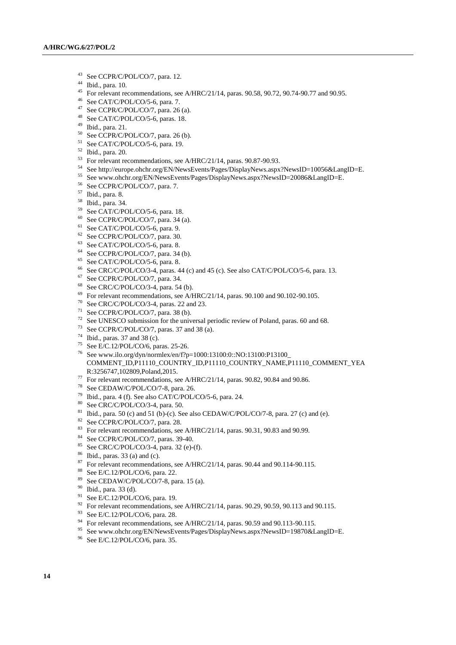- See CCPR/C/POL/CO/7, para. 12.
- Ibid., para. 10.
- For relevant recommendations, see A/HRC/21/14, paras. 90.58, 90.72, 90.74-90.77 and 90.95.
- See CAT/C/POL/CO/5-6, para. 7.
- See CCPR/C/POL/CO/7, para. 26 (a).
- See CAT/C/POL/CO/5-6, paras. 18.
- Ibid., para. 21.
- See CCPR/C/POL/CO/7, para. 26 (b).
- See CAT/C/POL/CO/5-6, para. 19.
- Ibid., para. 20.
- For relevant recommendations, see A/HRC/21/14, paras. 90.87-90.93.
- See http://europe.ohchr.org/EN/NewsEvents/Pages/DisplayNews.aspx?NewsID=10056&LangID=E.
- See www.ohchr.org/EN/NewsEvents/Pages/DisplayNews.aspx?NewsID=20086&LangID=E.
- See CCPR/C/POL/CO/7, para. 7.
- Ibid., para. 8.
- $\frac{58}{59}$  Ibid., para. 34.
- See CAT/C/POL/CO/5-6, para. 18.
- See CCPR/C/POL/CO/7, para. 34 (a).
- See CAT/C/POL/CO/5-6, para. 9.
- See CCPR/C/POL/CO/7, para. 30.
- See CAT/C/POL/CO/5-6, para. 8.
- See CCPR/C/POL/CO/7, para. 34 (b).
- See CAT/C/POL/CO/5-6, para. 8.
- See CRC/C/POL/CO/3-4, paras. 44 (c) and 45 (c). See also CAT/C/POL/CO/5-6, para. 13.
- See CCPR/C/POL/CO/7, para. 34.
- See CRC/C/POL/CO/3-4, para. 54 (b).
- For relevant recommendations, see A/HRC/21/14, paras. 90.100 and 90.102-90.105.
- See CRC/C/POL/CO/3-4, paras. 22 and 23.
- See CCPR/C/POL/CO/7, para. 38 (b).
- See UNESCO submission for the universal periodic review of Poland, paras. 60 and 68.
- See CCPR/C/POL/CO/7, paras. 37 and 38 (a).
- Ibid., paras. 37 and 38 (c).
- See E/C.12/POL/CO/6, paras. 25-26.
- See www.ilo.org/dyn/normlex/en/f?p=1000:13100:0::NO:13100:P13100\_ COMMENT\_ID,P11110\_COUNTRY\_ID,P11110\_COUNTRY\_NAME,P11110\_COMMENT\_YEA R:3256747,102809,Poland,2015.
- $^{77}$  For relevant recommendations, see A/HRC/21/14, paras. 90.82, 90.84 and 90.86.
- See CEDAW/C/POL/CO/7-8, para. 26.
- <sup>79</sup> Ibid., para. 4 (f). See also CAT/C/POL/CO/5-6, para. 24.
- See CRC/C/POL/CO/3-4, para. 50.
- <sup>81</sup> Ibid., para. 50 (c) and 51 (b)-(c). See also CEDAW/C/POL/CO/7-8, para. 27 (c) and (e).
- See CCPR/C/POL/CO/7, para. 28.
- 83 For relevant recommendations, see A/HRC/21/14, paras. 90.31, 90.83 and 90.99.
- See CCPR/C/POL/CO/7, paras. 39-40.
- See CRC/C/POL/CO/3-4, para. 32 (e)-(f).
- Ibid., paras. 33 (a) and (c).
- For relevant recommendations, see A/HRC/21/14, paras. 90.44 and 90.114-90.115.
- See E/C.12/POL/CO/6, para. 22.
- See CEDAW/C/POL/CO/7-8, para. 15 (a).
- Ibid., para. 33 (d).
- <sup>91</sup> See E/C.12/POL/CO/6, para. 19.
- <sup>92</sup> For relevant recommendations, see A/HRC/21/14, paras. 90.29, 90.59, 90.113 and 90.115.
- See E/C.12/POL/CO/6, para. 28.
- <sup>94</sup> For relevant recommendations, see A/HRC/21/14, paras. 90.59 and 90.113-90.115.
- See www.ohchr.org/EN/NewsEvents/Pages/DisplayNews.aspx?NewsID=19870&LangID=E.
- See E/C.12/POL/CO/6, para. 35.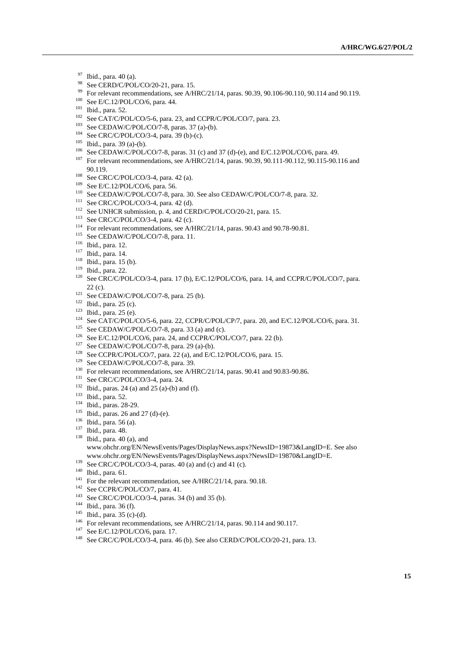- Ibid., para. 40 (a).
- 98 See CERD/C/POL/CO/20-21, para. 15.
- For relevant recommendations, see A/HRC/21/14, paras. 90.39, 90.106-90.110, 90.114 and 90.119.
- See E/C.12/POL/CO/6, para. 44.
- Ibid., para. 52.
- See CAT/C/POL/CO/5-6, para. 23, and CCPR/C/POL/CO/7, para. 23.
- See CEDAW/C/POL/CO/7-8, paras. 37 (a)-(b).
- See CRC/C/POL/CO/3-4, para. 39 (b)-(c).
- Ibid., para. 39 (a)-(b).
- See CEDAW/C/POL/CO/7-8, paras. 31 (c) and 37 (d)-(e), and E/C.12/POL/CO/6, para. 49.
- <sup>107</sup> For relevant recommendations, see A/HRC/21/14, paras. 90.39, 90.111-90.112, 90.115-90.116 and 90.119.
- See CRC/C/POL/CO/3-4, para. 42 (a).
- See E/C.12/POL/CO/6, para. 56.
- See CEDAW/C/POL/CO/7-8, para. 30. See also CEDAW/C/POL/CO/7-8, para. 32.
- See CRC/C/POL/CO/3-4, para. 42 (d).
- <sup>112</sup> See UNHCR submission, p. 4, and CERD/C/POL/CO/20-21, para. 15.
- See CRC/C/POL/CO/3-4, para. 42 (c).
- <sup>114</sup> For relevant recommendations, see A/HRC/21/14, paras. 90.43 and 90.78-90.81.
- <sup>115</sup> See CEDAW/C/POL/CO/7-8, para. 11.
- Ibid., para. 12.
- Ibid., para. 14.
- Ibid., para. 15 (b).
- Ibid., para. 22.
- <sup>120</sup> See CRC/C/POL/CO/3-4, para. 17 (b), E/C.12/POL/CO/6, para. 14, and CCPR/C/POL/CO/7, para. (c).
- See CEDAW/C/POL/CO/7-8, para. 25 (b).
- Ibid., para. 25 (c).
- Ibid., para. 25 (e).
- <sup>124</sup> See CAT/C/POL/CO/5-6, para. 22, CCPR/C/POL/CP/7, para. 20, and E/C.12/POL/CO/6, para. 31.
- <sup>125</sup> See CEDAW/C/POL/CO/ $\overline{7}$ -8, para. 33 (a) and (c).
- <sup>126</sup> See E/C.12/POL/CO/6, para. 24, and CCPR/C/POL/CO/7, para. 22 (b).
- <sup>127</sup> See CEDAW/C/POL/CO/7-8, para. 29 (a)-(b).
- See CCPR/C/POL/CO/7, para. 22 (a), and E/C.12/POL/CO/6, para. 15.
- <sup>129</sup> See CEDAW/C/POL/CO/7-8, para. 39.
- <sup>130</sup> For relevant recommendations, see A/HRC/21/14, paras. 90.41 and 90.83-90.86.
- See CRC/C/POL/CO/3-4, para. 24.
- Ibid., paras. 24 (a) and 25 (a)-(b) and (f).
- Ibid., para. 52.
- Ibid., paras. 28-29.
- <sup>135</sup> Ibid., paras. 26 and 27 (d)-(e).
- Ibid., para. 56 (a).
- Ibid., para. 48.
- Ibid., para. 40 (a), and www.ohchr.org/EN/NewsEvents/Pages/DisplayNews.aspx?NewsID=19873&LangID=E. See also www.ohchr.org/EN/NewsEvents/Pages/DisplayNews.aspx?NewsID=19870&LangID=E.
- <sup>139</sup> See CRC/C/POL/CO/3-4, paras. 40 (a) and (c) and 41 (c).
- Ibid., para. 61.
- <sup>141</sup> For the relevant recommendation, see A/HRC/21/14, para. 90.18.
- <sup>142</sup> See CCPR/C/POL/CO/7, para. 41.
- See CRC/C/POL/CO/3-4, paras. 34 (b) and 35 (b).
- Ibid., para. 36 (f).
- <sup>145</sup> Ibid., para. 35 (c)-(d).
- <sup>146</sup> For relevant recommendations, see A/HRC/21/14, paras. 90.114 and 90.117.
- See E/C.12/POL/CO/6, para. 17.
- <sup>148</sup> See CRC/C/POL/CO/3-4, para. 46 (b). See also CERD/C/POL/CO/20-21, para. 13.